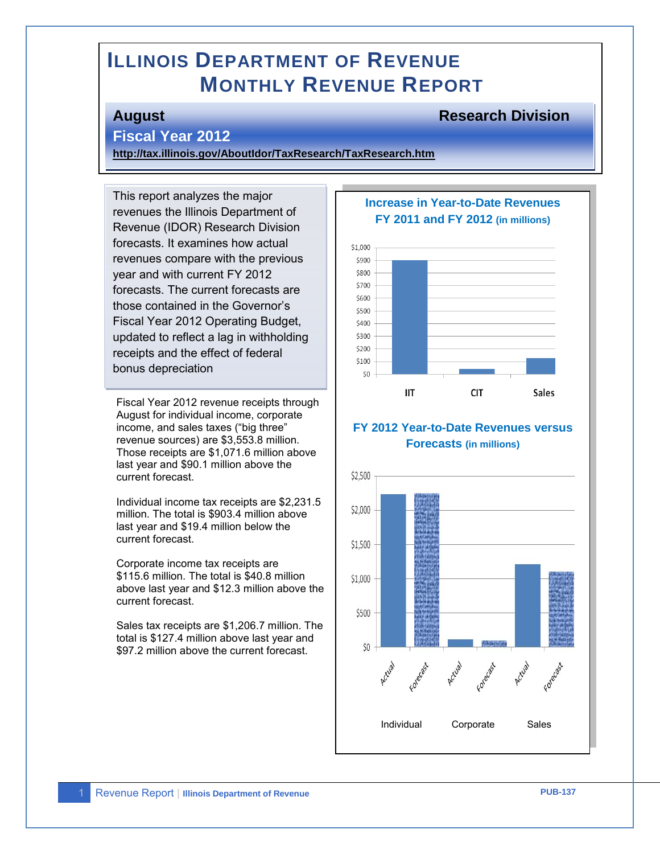# **ILLINOIS DEPARTMENT OF REVENUE MONTHLY REVENUE REPORT**

#### **August Research Division**

#### **Fiscal Year 2012**

**<http://tax.illinois.gov/AboutIdor/TaxResearch/TaxResearch.htm>**

This report analyzes the major revenues the Illinois Department of Revenue (IDOR) Research Division forecasts. It examines how actual revenues compare with the previous year and with current FY 2012 forecasts. The current forecasts are those contained in the Governor's Fiscal Year 2012 Operating Budget, updated to reflect a lag in withholding receipts and the effect of federal bonus depreciation

Fiscal Year 2012 revenue receipts through August for individual income, corporate income, and sales taxes ("big three" revenue sources) are \$3,553.8 million. Those receipts are \$1,071.6 million above last year and \$90.1 million above the current forecast.

Individual income tax receipts are \$2,231.5 million. The total is \$903.4 million above last year and \$19.4 million below the current forecast.

Corporate income tax receipts are \$115.6 million. The total is \$40.8 million above last year and \$12.3 million above the current forecast.

Sales tax receipts are \$1,206.7 million. The total is \$127.4 million above last year and \$97.2 million above the current forecast.

# **Increase in Year-to-Date Revenues FY 2011 and FY 2012 (in millions)**



#### **FY 2012 Year-to-Date Revenues versus Forecasts (in millions)**

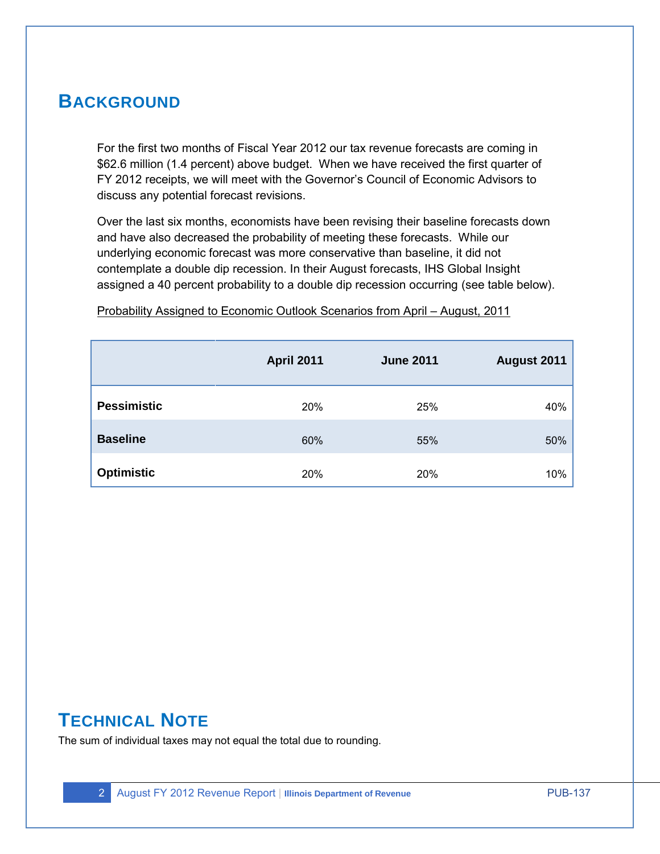# **BACKGROUND**

For the first two months of Fiscal Year 2012 our tax revenue forecasts are coming in \$62.6 million (1.4 percent) above budget. When we have received the first quarter of FY 2012 receipts, we will meet with the Governor's Council of Economic Advisors to discuss any potential forecast revisions.

Over the last six months, economists have been revising their baseline forecasts down and have also decreased the probability of meeting these forecasts. While our underlying economic forecast was more conservative than baseline, it did not contemplate a double dip recession. In their August forecasts, IHS Global Insight assigned a 40 percent probability to a double dip recession occurring (see table below).

|                    | <b>April 2011</b> | <b>June 2011</b> | August 2011 |
|--------------------|-------------------|------------------|-------------|
| <b>Pessimistic</b> | 20%               | 25%              | 40%         |
| <b>Baseline</b>    | 60%               | 55%              | 50%         |
| <b>Optimistic</b>  | 20%               | 20%              | 10%         |

Probability Assigned to Economic Outlook Scenarios from April – August, 2011

# **TECHNICAL NOTE**

The sum of individual taxes may not equal the total due to rounding.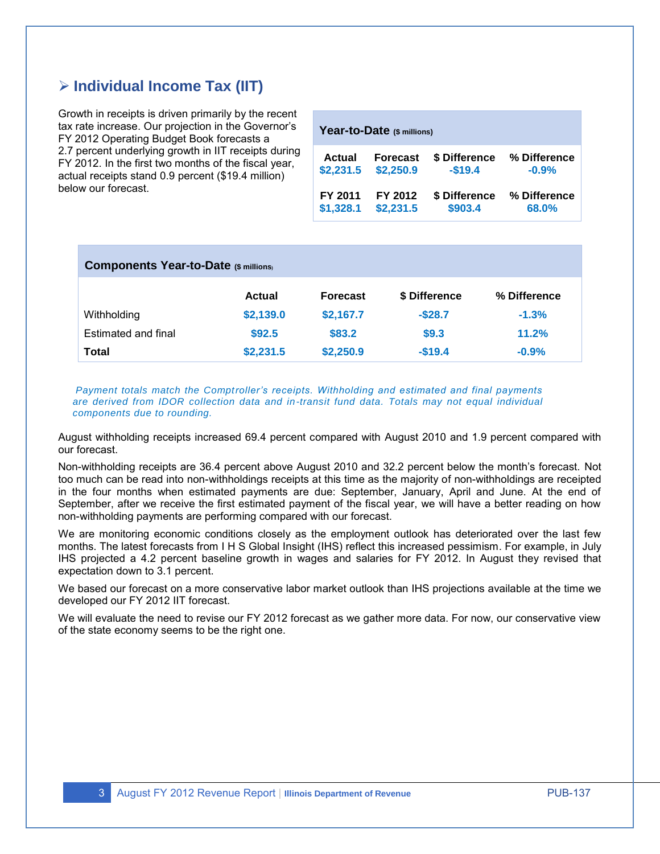## **Individual Income Tax (IIT)**

Growth in receipts is driven primarily by the recent tax rate increase. Our projection in the Governor's FY 2012 Operating Budget Book forecasts a 2.7 percent underlying growth in IIT receipts during FY 2012. In the first two months of the fiscal year, actual receipts stand 0.9 percent (\$19.4 million) below our forecast.

| Year-to-Date (\$ millions) |                 |               |              |  |  |
|----------------------------|-----------------|---------------|--------------|--|--|
| Actual                     | <b>Forecast</b> | \$ Difference | % Difference |  |  |
| \$2,231.5                  | \$2,250.9       | $-$19.4$      | $-0.9%$      |  |  |
| FY 2011                    | FY 2012         | \$ Difference | % Difference |  |  |
| \$1,328.1                  | \$2,231.5       | \$903.4       | 68.0%        |  |  |

| <b>Components Year-to-Date (\$ millions)</b> |           |                 |               |              |
|----------------------------------------------|-----------|-----------------|---------------|--------------|
|                                              | Actual    | <b>Forecast</b> | \$ Difference | % Difference |
| Withholding                                  | \$2,139.0 | \$2,167.7       | $-$28.7$      | $-1.3%$      |
| Estimated and final                          | \$92.5    | \$83.2          | \$9.3         | 11.2%        |
| Total                                        | \$2,231.5 | \$2,250.9       | $-$19.4$      | $-0.9%$      |

*Payment totals match the Comptroller's receipts. Withholding and estimated and final payments are derived from IDOR collection data and in-transit fund data. Totals may not equal individual components due to rounding.* 

August withholding receipts increased 69.4 percent compared with August 2010 and 1.9 percent compared with our forecast.

Non-withholding receipts are 36.4 percent above August 2010 and 32.2 percent below the month's forecast. Not too much can be read into non-withholdings receipts at this time as the majority of non-withholdings are receipted in the four months when estimated payments are due: September, January, April and June. At the end of September, after we receive the first estimated payment of the fiscal year, we will have a better reading on how non-withholding payments are performing compared with our forecast.

We are monitoring economic conditions closely as the employment outlook has deteriorated over the last few months. The latest forecasts from I H S Global Insight (IHS) reflect this increased pessimism. For example, in July IHS projected a 4.2 percent baseline growth in wages and salaries for FY 2012. In August they revised that expectation down to 3.1 percent.

We based our forecast on a more conservative labor market outlook than IHS projections available at the time we developed our FY 2012 IIT forecast.

We will evaluate the need to revise our FY 2012 forecast as we gather more data. For now, our conservative view of the state economy seems to be the right one.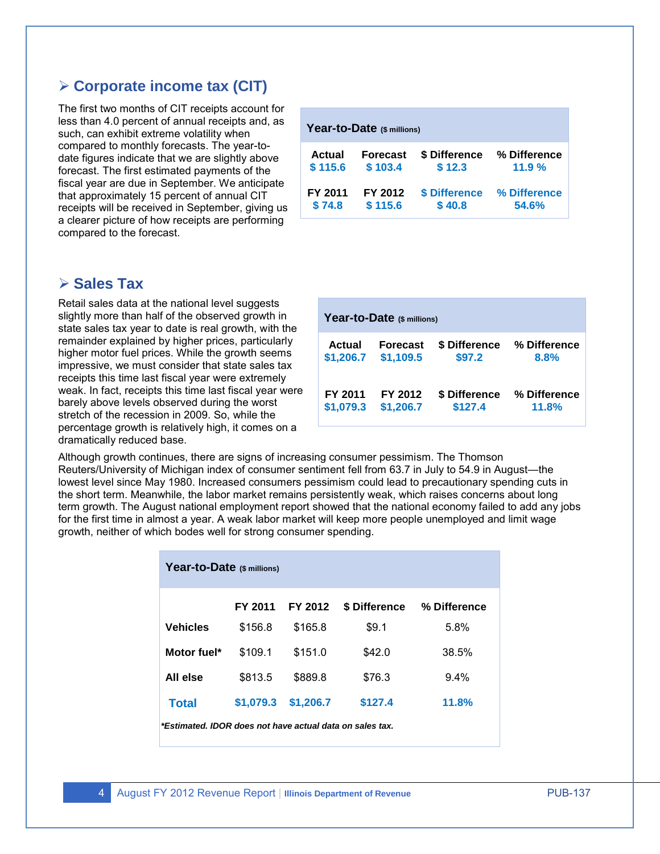### **Corporate income tax (CIT)**

The first two months of CIT receipts account for less than 4.0 percent of annual receipts and, as such, can exhibit extreme volatility when compared to monthly forecasts. The year-todate figures indicate that we are slightly above forecast. The first estimated payments of the fiscal year are due in September. We anticipate that approximately 15 percent of annual CIT receipts will be received in September, giving us a clearer picture of how receipts are performing compared to the forecast.

#### **Sales Tax**

Retail sales data at the national level suggests slightly more than half of the observed growth in state sales tax year to date is real growth, with the remainder explained by higher prices, particularly higher motor fuel prices. While the growth seems impressive, we must consider that state sales tax receipts this time last fiscal year were extremely weak. In fact, receipts this time last fiscal year were barely above levels observed during the worst stretch of the recession in 2009. So, while the percentage growth is relatively high, it comes on a dramatically reduced base.

| Year-to-Date (\$ millions) |                 |               |              |  |  |
|----------------------------|-----------------|---------------|--------------|--|--|
| <b>Actual</b>              | <b>Forecast</b> | \$ Difference | % Difference |  |  |
| \$115.6                    | \$103.4         | \$12.3        | 11.9%        |  |  |
| FY 2011                    | FY 2012         | \$ Difference | % Difference |  |  |
| \$74.8                     | \$115.6         | \$40.8        | 54.6%        |  |  |

| Year-to-Date (\$ millions) |           |               |              |  |  |
|----------------------------|-----------|---------------|--------------|--|--|
| Actual                     | Forecast  | \$ Difference | % Difference |  |  |
| \$1,206.7                  | \$1,109.5 | \$97.2        | 8.8%         |  |  |
| FY 2011                    | FY 2012   | \$ Difference | % Difference |  |  |
| \$1,079.3                  | \$1,206.7 | \$127.4       | 11.8%        |  |  |

Although growth continues, there are signs of increasing consumer pessimism. The Thomson Reuters/University of Michigan index of consumer sentiment fell from 63.7 in July to 54.9 in August—the lowest level since May 1980. Increased consumers pessimism could lead to precautionary spending cuts in the short term. Meanwhile, the labor market remains persistently weak, which raises concerns about long term growth. The August national employment report showed that the national economy failed to add any jobs for the first time in almost a year. A weak labor market will keep more people unemployed and limit wage growth, neither of which bodes well for strong consumer spending.

| Year-to-Date (\$ millions)                               |           |           |               |              |  |
|----------------------------------------------------------|-----------|-----------|---------------|--------------|--|
|                                                          | FY 2011   | FY 2012   | \$ Difference | % Difference |  |
| <b>Vehicles</b>                                          | \$156.8   | \$165.8   | \$9.1         | 5.8%         |  |
| Motor fuel*                                              | \$109.1   | \$151.0   | \$42.0        | 38.5%        |  |
| All else                                                 | \$813.5   | \$889.8   | \$76.3        | $9.4\%$      |  |
| <b>Total</b>                                             | \$1,079.3 | \$1.206.7 | \$127.4       | 11.8%        |  |
| *Estimated. IDOR does not have actual data on sales tax. |           |           |               |              |  |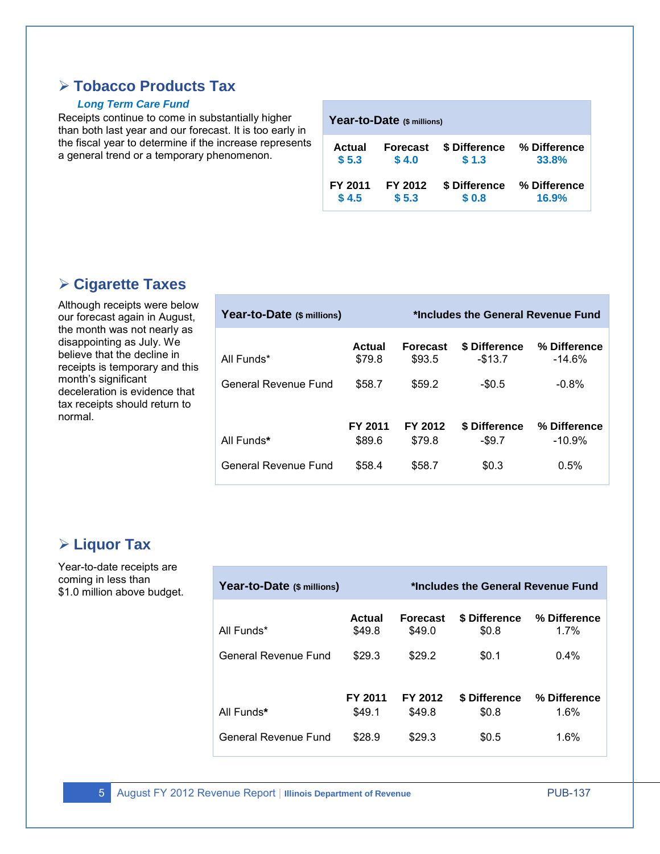# **Tobacco Products Tax**

#### *Long Term Care Fund*

Receipts continue to come in substantially higher than both last year and our forecast. It is too early in the fiscal year to determine if the increase represents a general trend or a temporary phenomenon.

| Year-to-Date (\$ millions) |         |                 |               |              |  |
|----------------------------|---------|-----------------|---------------|--------------|--|
|                            | Actual  | <b>Forecast</b> | \$ Difference | % Difference |  |
|                            | \$5.3   | \$4.0           | \$1.3         | 33.8%        |  |
|                            | FY 2011 | FY 2012         | \$ Difference | % Difference |  |
|                            | \$4.5   | \$5.3           | \$0.8         | 16.9%        |  |

## **Cigarette Taxes**

Although receipts were below our forecast again in August, the month was not nearly as disappointing as July. We believe that the decline in receipts is temporary and this month's significant deceleration is evidence that tax receipts should return to normal.

| Year-to-Date (\$ millions)         |                             | *Includes the General Revenue Fund  |                                      |                                      |
|------------------------------------|-----------------------------|-------------------------------------|--------------------------------------|--------------------------------------|
| All Funds*<br>General Revenue Fund | Actual<br>\$79.8<br>\$58.7  | <b>Forecast</b><br>\$93.5<br>\$59.2 | \$ Difference<br>$-$13.7$<br>$-$0.5$ | % Difference<br>$-14.6\%$<br>$-0.8%$ |
| All Funds*<br>General Revenue Fund | FY 2011<br>\$89.6<br>\$58.4 | FY 2012<br>\$79.8<br>\$58.7         | \$ Difference<br>$-$ \$9.7<br>\$0.3  | % Difference<br>$-10.9\%$<br>0.5%    |

### **Liquor Tax**

Year-to-date receipts are coming in less than \$1.0 million above budget.

| Year-to-Date (\$ millions) |                   | *Includes the General Revenue Fund |                        |                         |
|----------------------------|-------------------|------------------------------------|------------------------|-------------------------|
| All Funds*                 | Actual<br>\$49.8  | <b>Forecast</b><br>\$49.0          | \$ Difference<br>\$0.8 | % Difference<br>$1.7\%$ |
| General Revenue Fund       | \$29.3            | \$29.2                             | \$0.1                  | $0.4\%$                 |
|                            |                   |                                    |                        |                         |
| All Funds*                 | FY 2011<br>\$49.1 | FY 2012<br>\$49.8                  | \$ Difference<br>\$0.8 | % Difference<br>1.6%    |
| General Revenue Fund       | \$28.9            | \$29.3                             | \$0.5                  | 1.6%                    |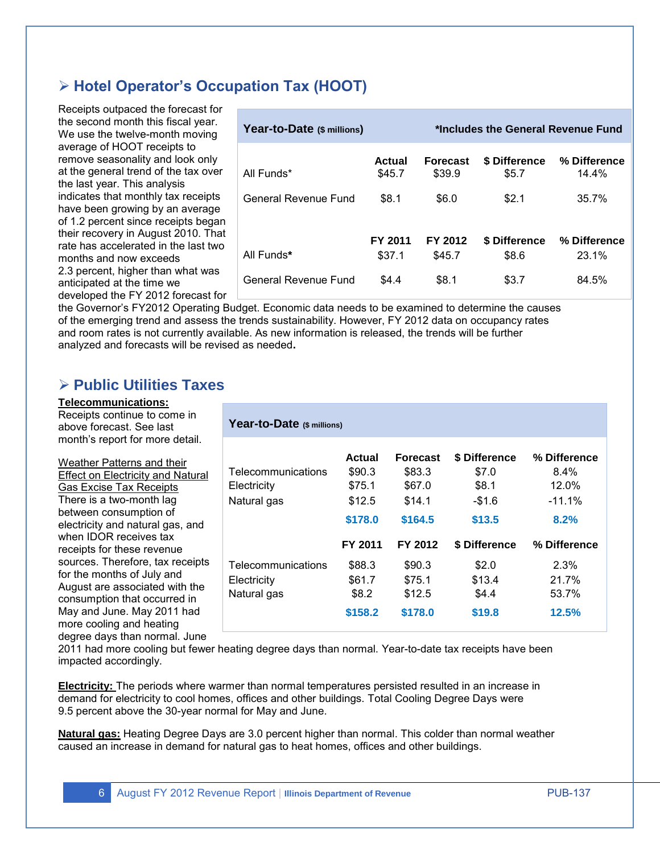# **Hotel Operator's Occupation Tax (HOOT)**

Receipts outpaced the forecast for the second month this fiscal year. We use the twelve-month moving average of HOOT receipts to remove seasonality and look only at the general trend of the tax over the last year. This analysis indicates that monthly tax receipts have been growing by an average of 1.2 percent since receipts began their recovery in August 2010. That rate has accelerated in the last two months and now exceeds 2.3 percent, higher than what was anticipated at the time we developed the FY 2012 forecast for

| Year-to-Date (\$ millions) |                  | *Includes the General Revenue Fund |                        |                       |
|----------------------------|------------------|------------------------------------|------------------------|-----------------------|
| All Funds*                 | Actual<br>\$45.7 | <b>Forecast</b><br>\$39.9          | \$ Difference<br>\$5.7 | % Difference<br>14.4% |
| General Revenue Fund       | \$8.1            | \$6.0                              | \$2.1                  | 35.7%                 |
|                            |                  |                                    |                        |                       |
|                            | FY 2011          | FY 2012                            | \$ Difference          | % Difference          |
| All Funds*                 | \$37.1           | \$45.7                             | \$8.6                  | 23.1%                 |
| General Revenue Fund       | \$4.4            | \$8.1                              | \$3.7                  | 84.5%                 |

the Governor's FY2012 Operating Budget. Economic data needs to be examined to determine the causes of the emerging trend and assess the trends sustainability. However, FY 2012 data on occupancy rates and room rates is not currently available. As new information is released, the trends will be further analyzed and forecasts will be revised as needed**.** 

## **Public Utilities Taxes**

#### **Telecommunications:**

Receipts continue to come in above forecast. See last month's report for more detail.

Weather Patterns and their Effect on Electricity and Natural Gas Excise Tax Receipts There is a two-month lag between consumption of electricity and natural gas, and when IDOR receives tax receipts for these revenue sources. Therefore, tax receipts for the months of July and August are associated with the consumption that occurred in May and June. May 2011 had more cooling and heating degree days than normal. June

| Year-to-Date (\$ millions)                       |                                      |                                       |                                    |                                  |
|--------------------------------------------------|--------------------------------------|---------------------------------------|------------------------------------|----------------------------------|
| Telecommunications<br>Electricity                | Actual<br>\$90.3<br>\$75.1           | <b>Forecast</b><br>\$83.3<br>\$67.0   | \$ Difference<br>\$7.0<br>\$8.1    | % Difference<br>$8.4\%$<br>12.0% |
| Natural gas                                      | \$12.5<br>\$178.0                    | \$14.1<br>\$164.5                     | $-\$1.6$<br>\$13.5                 | $-11.1%$<br>8.2%                 |
|                                                  | FY 2011                              | FY 2012                               | \$ Difference                      | % Difference                     |
| Telecommunications<br>Electricity<br>Natural gas | \$88.3<br>\$61.7<br>\$8.2<br>\$158.2 | \$90.3<br>\$75.1<br>\$12.5<br>\$178.0 | \$2.0<br>\$13.4<br>\$4.4<br>\$19.8 | 2.3%<br>21.7%<br>53.7%<br>12.5%  |
|                                                  |                                      |                                       |                                    |                                  |

2011 had more cooling but fewer heating degree days than normal. Year-to-date tax receipts have been impacted accordingly.

**Electricity:** The periods where warmer than normal temperatures persisted resulted in an increase in demand for electricity to cool homes, offices and other buildings. Total Cooling Degree Days were 9.5 percent above the 30-year normal for May and June.

**Natural gas:** Heating Degree Days are 3.0 percent higher than normal. This colder than normal weather caused an increase in demand for natural gas to heat homes, offices and other buildings.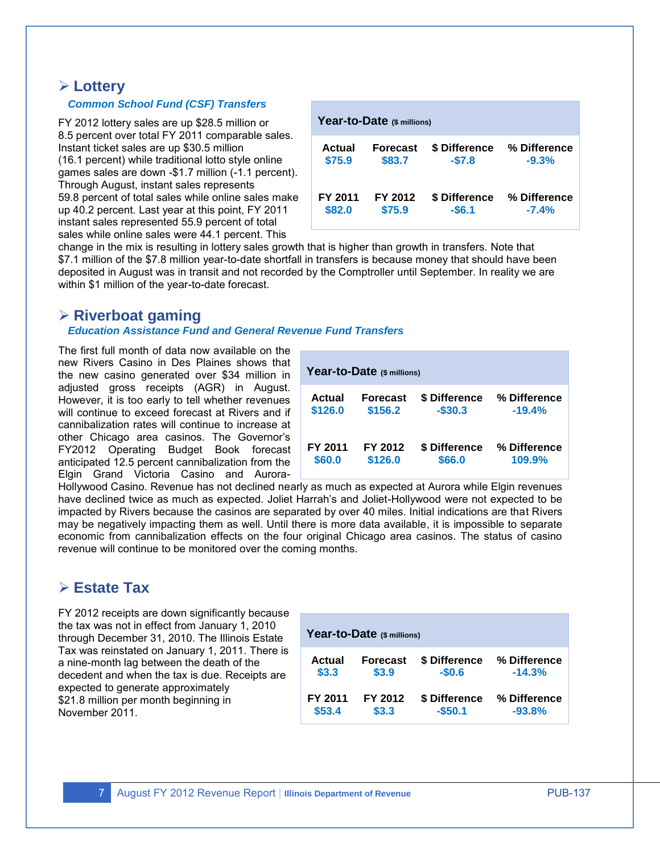#### **Lottery**

#### *Common School Fund (CSF) Transfers*

FY 2012 lottery sales are up \$28.5 million or 8.5 percent over total FY 2011 comparable sales. Instant ticket sales are up \$30.5 million (16.1 percent) while traditional lotto style online games sales are down -\$1.7 million (-1.1 percent). Through August, instant sales represents 59.8 percent of total sales while online sales make up 40.2 percent. Last year at this point, FY 2011 instant sales represented 55.9 percent of total sales while online sales were 44.1 percent. This

| Year-to-Date (\$ millions) |                 |               |              |  |  |
|----------------------------|-----------------|---------------|--------------|--|--|
| Actual                     | <b>Forecast</b> | \$ Difference | % Difference |  |  |
| \$75.9                     | \$83.7          | $-$7.8$       | $-9.3%$      |  |  |
| FY 2011                    | FY 2012         | \$ Difference | % Difference |  |  |
| \$82.0                     | \$75.9          | $-$6.1$       | $-7.4%$      |  |  |

change in the mix is resulting in lottery sales growth that is higher than growth in transfers. Note that \$7.1 million of the \$7.8 million year-to-date shortfall in transfers is because money that should have been deposited in August was in transit and not recorded by the Comptroller until September. In reality we are within \$1 million of the year-to-date forecast.

#### **Riverboat gaming**

#### *Education Assistance Fund and General Revenue Fund Transfers*

The first full month of data now available on the new Rivers Casino in Des Plaines shows that the new casino generated over \$34 million in adjusted gross receipts (AGR) in August. However, it is too early to tell whether revenues will continue to exceed forecast at Rivers and if cannibalization rates will continue to increase at other Chicago area casinos. The Governor's FY2012 Operating Budget Book forecast anticipated 12.5 percent cannibalization from the Elgin Grand Victoria Casino and Aurora-

| Year-to-Date (\$ millions) |          |               |              |  |  |  |  |  |
|----------------------------|----------|---------------|--------------|--|--|--|--|--|
| Actual                     | Forecast | \$ Difference | % Difference |  |  |  |  |  |
| \$126.0                    | \$156.2  | $-$30.3$      | $-19.4%$     |  |  |  |  |  |
| FY 2011                    | FY 2012  | \$ Difference | % Difference |  |  |  |  |  |
| \$60.0                     | \$126.0  | \$66.0        | 109.9%       |  |  |  |  |  |

Hollywood Casino. Revenue has not declined nearly as much as expected at Aurora while Elgin revenues have declined twice as much as expected. Joliet Harrah's and Joliet-Hollywood were not expected to be impacted by Rivers because the casinos are separated by over 40 miles. Initial indications are that Rivers may be negatively impacting them as well. Until there is more data available, it is impossible to separate economic from cannibalization effects on the four original Chicago area casinos. The status of casino revenue will continue to be monitored over the coming months.

# **Estate Tax**

FY 2012 receipts are down significantly because the tax was not in effect from January 1, 2010 through December 31, 2010. The Illinois Estate Tax was reinstated on January 1, 2011. There is a nine-month lag between the death of the decedent and when the tax is due. Receipts are expected to generate approximately \$21.8 million per month beginning in November 2011.

| Year-to-Date (\$ millions) |                 |               |              |  |  |  |  |  |  |
|----------------------------|-----------------|---------------|--------------|--|--|--|--|--|--|
| Actual                     | <b>Forecast</b> | \$ Difference | % Difference |  |  |  |  |  |  |
| \$3.3                      | \$3.9           | $-$0.6$       | $-14.3%$     |  |  |  |  |  |  |
| FY 2011                    | FY 2012         | \$ Difference | % Difference |  |  |  |  |  |  |
| \$53.4                     | \$3.3           | $-$50.1$      | $-93.8%$     |  |  |  |  |  |  |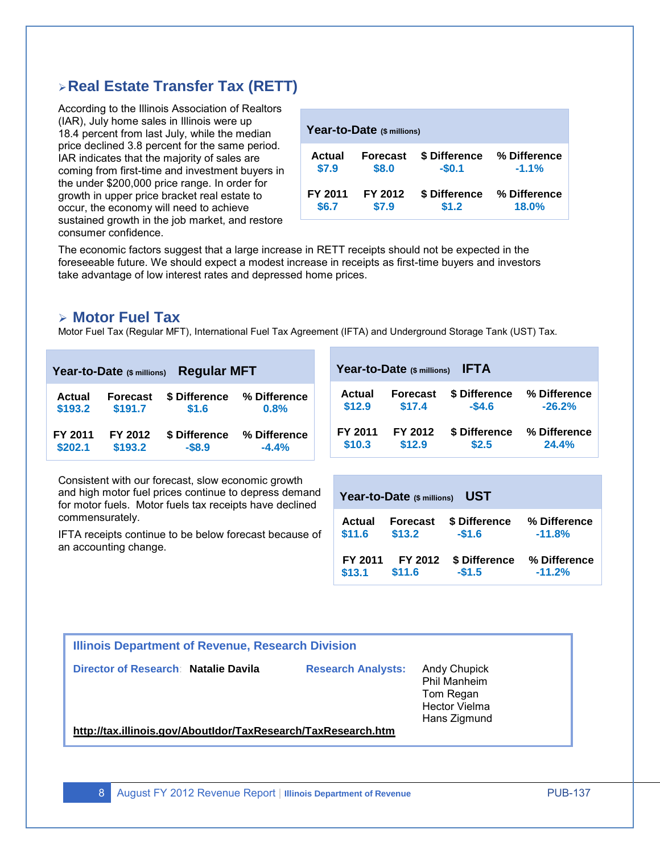## **Real Estate Transfer Tax (RETT)**

According to the Illinois Association of Realtors (IAR), July home sales in Illinois were up 18.4 percent from last July, while the median price declined 3.8 percent for the same period. IAR indicates that the majority of sales are coming from first-time and investment buyers in the under \$200,000 price range. In order for growth in upper price bracket real estate to occur, the economy will need to achieve sustained growth in the job market, and restore consumer confidence.

| Year-to-Date (\$ millions) |                 |               |              |  |  |  |  |  |  |
|----------------------------|-----------------|---------------|--------------|--|--|--|--|--|--|
| Actual                     | <b>Forecast</b> | \$ Difference | % Difference |  |  |  |  |  |  |
| \$7.9                      | \$8.0           | $-$0.1$       | $-1.1%$      |  |  |  |  |  |  |
| FY 2011                    | FY 2012         | \$ Difference | % Difference |  |  |  |  |  |  |
| \$6.7                      | \$7.9           | \$1.2         | 18.0%        |  |  |  |  |  |  |

The economic factors suggest that a large increase in RETT receipts should not be expected in the foreseeable future. We should expect a modest increase in receipts as first-time buyers and investors take advantage of low interest rates and depressed home prices.

#### **Motor Fuel Tax**

Motor Fuel Tax (Regular MFT), International Fuel Tax Agreement (IFTA) and Underground Storage Tank (UST) Tax.

| <b>Regular MFT</b><br>Year-to-Date (\$ millions) |                 |               |              | Year-to-Date (\$ millions)<br><b>IFTA</b> |         |                 |               |              |  |
|--------------------------------------------------|-----------------|---------------|--------------|-------------------------------------------|---------|-----------------|---------------|--------------|--|
| Actual                                           | <b>Forecast</b> | \$ Difference | % Difference |                                           | Actual  | <b>Forecast</b> | \$ Difference | % Difference |  |
| \$193.2                                          | \$191.7         | \$1.6         | 0.8%         |                                           | \$12.9  | \$17.4          | $-$4.6$       | $-26.2%$     |  |
| FY 2011                                          | FY 2012         | \$ Difference | % Difference |                                           | FY 2011 | FY 2012         | \$ Difference | % Difference |  |
| \$202.1                                          | \$193.2         | $-$ \$8.9     | $-4.4%$      |                                           | \$10.3  | \$12.9          | \$2.5         | <b>24.4%</b> |  |

Consistent with our forecast, slow economic growth and high motor fuel prices continue to depress demand for motor fuels. Motor fuels tax receipts have declined commensurately.

IFTA receipts continue to be below forecast because of an accounting change.

| <b>UST</b><br>Year-to-Date (\$ millions) |                 |               |              |  |  |  |  |  |  |
|------------------------------------------|-----------------|---------------|--------------|--|--|--|--|--|--|
| Actual                                   | <b>Forecast</b> | \$ Difference | % Difference |  |  |  |  |  |  |
| \$11.6                                   | \$13.2          | $-$1.6$       | $-11.8%$     |  |  |  |  |  |  |
| FY 2011                                  | FY 2012         | \$ Difference | % Difference |  |  |  |  |  |  |
| \$13.1                                   | \$11.6          | $-$1.5$       | $-11.2%$     |  |  |  |  |  |  |

#### **Illinois Department of Revenue, Research Division**

**Director of Research**: **Natalie Davila Research Analysts:** Andy Chupick

Phil Manheim Tom Regan Hector Vielma Hans Zigmund

**<http://tax.illinois.gov/AboutIdor/TaxResearch/TaxResearch.htm>**